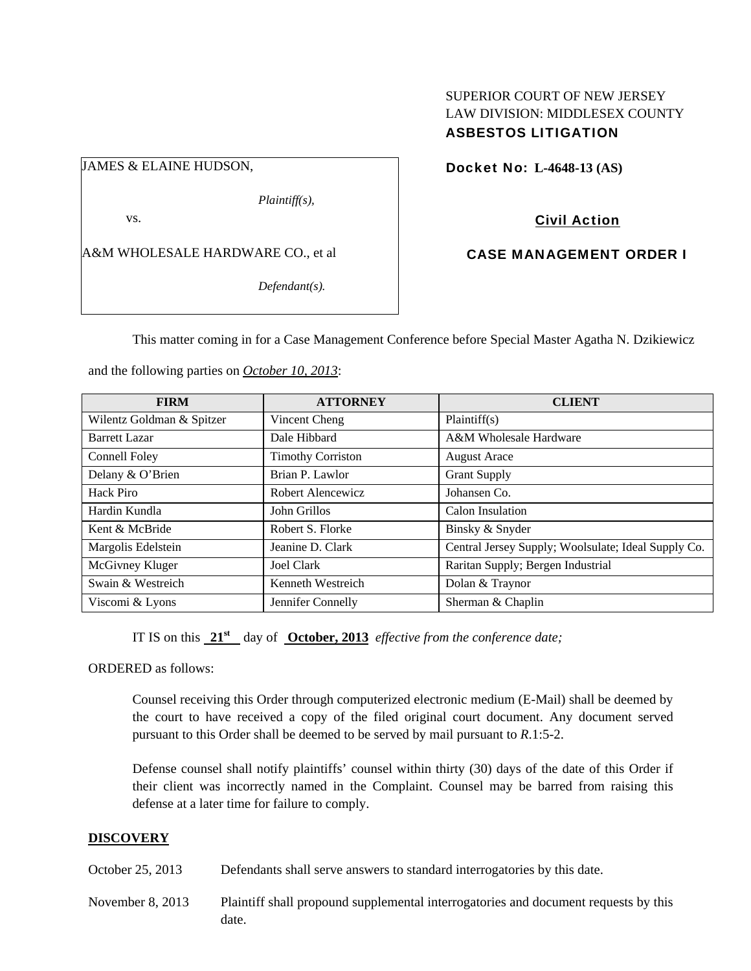# SUPERIOR COURT OF NEW JERSEY LAW DIVISION: MIDDLESEX COUNTY ASBESTOS LITIGATION

JAMES & ELAINE HUDSON,

*Plaintiff(s),* 

vs.

A&M WHOLESALE HARDWARE CO., et al

*Defendant(s).* 

Docket No: **L-4648-13 (AS)** 

Civil Action

CASE MANAGEMENT ORDER I

This matter coming in for a Case Management Conference before Special Master Agatha N. Dzikiewicz

and the following parties on *October 10, 2013*:

| <b>FIRM</b>               | <b>ATTORNEY</b>          | <b>CLIENT</b>                                       |
|---------------------------|--------------------------|-----------------------------------------------------|
| Wilentz Goldman & Spitzer | Vincent Cheng            | Plaintiff(s)                                        |
| <b>Barrett Lazar</b>      | Dale Hibbard             | A&M Wholesale Hardware                              |
| Connell Foley             | <b>Timothy Corriston</b> | <b>August Arace</b>                                 |
| Delany & O'Brien          | Brian P. Lawlor          | <b>Grant Supply</b>                                 |
| Hack Piro                 | Robert Alencewicz        | Johansen Co.                                        |
| Hardin Kundla             | John Grillos             | Calon Insulation                                    |
| Kent & McBride            | Robert S. Florke         | Binsky & Snyder                                     |
| Margolis Edelstein        | Jeanine D. Clark         | Central Jersey Supply; Woolsulate; Ideal Supply Co. |
| McGivney Kluger           | Joel Clark               | Raritan Supply; Bergen Industrial                   |
| Swain & Westreich         | Kenneth Westreich        | Dolan & Traynor                                     |
| Viscomi & Lyons           | Jennifer Connelly        | Sherman & Chaplin                                   |

IT IS on this **21st** day of **October, 2013** *effective from the conference date;*

ORDERED as follows:

Counsel receiving this Order through computerized electronic medium (E-Mail) shall be deemed by the court to have received a copy of the filed original court document. Any document served pursuant to this Order shall be deemed to be served by mail pursuant to *R*.1:5-2.

Defense counsel shall notify plaintiffs' counsel within thirty (30) days of the date of this Order if their client was incorrectly named in the Complaint. Counsel may be barred from raising this defense at a later time for failure to comply.

## **DISCOVERY**

October 25, 2013 Defendants shall serve answers to standard interrogatories by this date.

November 8, 2013 Plaintiff shall propound supplemental interrogatories and document requests by this date.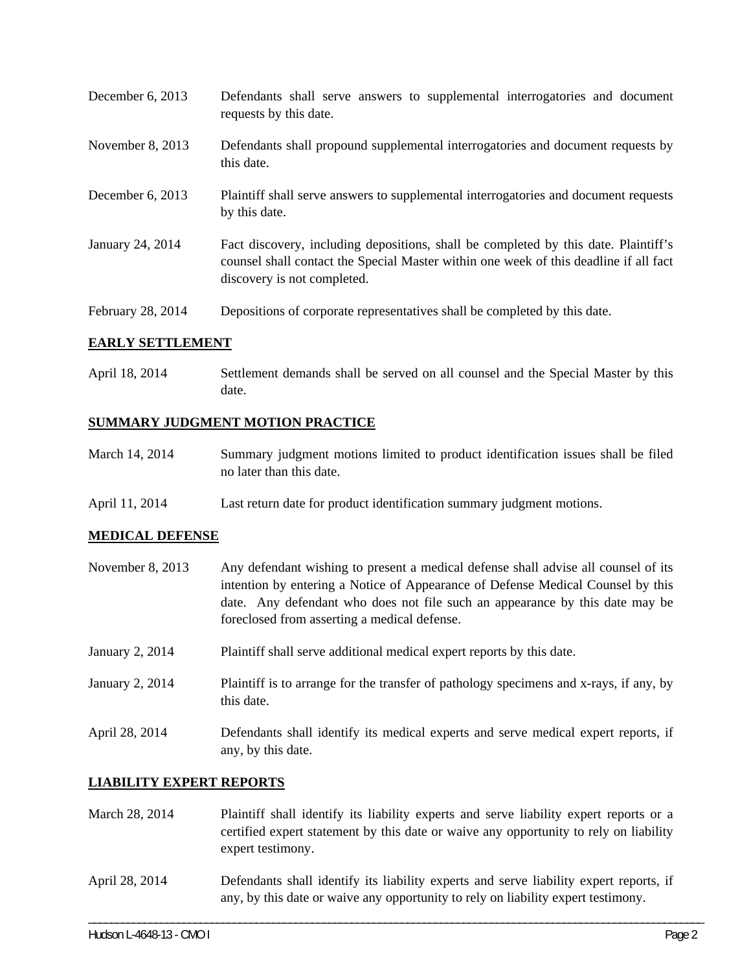| December 6, 2013  | Defendants shall serve answers to supplemental interrogatories and document<br>requests by this date.                                                                                                       |
|-------------------|-------------------------------------------------------------------------------------------------------------------------------------------------------------------------------------------------------------|
| November 8, 2013  | Defendants shall propound supplemental interrogatories and document requests by<br>this date.                                                                                                               |
| December 6, 2013  | Plaintiff shall serve answers to supplemental interrogatories and document requests<br>by this date.                                                                                                        |
| January 24, 2014  | Fact discovery, including depositions, shall be completed by this date. Plaintiff's<br>counsel shall contact the Special Master within one week of this deadline if all fact<br>discovery is not completed. |
| February 28, 2014 | Depositions of corporate representatives shall be completed by this date.                                                                                                                                   |

## **EARLY SETTLEMENT**

April 18, 2014 Settlement demands shall be served on all counsel and the Special Master by this date.

## **SUMMARY JUDGMENT MOTION PRACTICE**

| March 14, 2014 | Summary judgment motions limited to product identification issues shall be filed |
|----------------|----------------------------------------------------------------------------------|
|                | no later than this date.                                                         |

April 11, 2014 Last return date for product identification summary judgment motions.

## **MEDICAL DEFENSE**

| November $8, 2013$ | Any defendant wishing to present a medical defense shall advise all counsel of its<br>intention by entering a Notice of Appearance of Defense Medical Counsel by this<br>date. Any defendant who does not file such an appearance by this date may be<br>foreclosed from asserting a medical defense. |
|--------------------|-------------------------------------------------------------------------------------------------------------------------------------------------------------------------------------------------------------------------------------------------------------------------------------------------------|
| January 2, 2014    | Plaintiff shall serve additional medical expert reports by this date.                                                                                                                                                                                                                                 |
| January 2, 2014    | Plaintiff is to arrange for the transfer of pathology specimens and x-rays, if any, by<br>this date.                                                                                                                                                                                                  |
| April 28, 2014     | Defendants shall identify its medical experts and serve medical expert reports, if<br>any, by this date.                                                                                                                                                                                              |

#### **LIABILITY EXPERT REPORTS**

- March 28, 2014 Plaintiff shall identify its liability experts and serve liability expert reports or a certified expert statement by this date or waive any opportunity to rely on liability expert testimony.
- April 28, 2014 Defendants shall identify its liability experts and serve liability expert reports, if any, by this date or waive any opportunity to rely on liability expert testimony.

\_\_\_\_\_\_\_\_\_\_\_\_\_\_\_\_\_\_\_\_\_\_\_\_\_\_\_\_\_\_\_\_\_\_\_\_\_\_\_\_\_\_\_\_\_\_\_\_\_\_\_\_\_\_\_\_\_\_\_\_\_\_\_\_\_\_\_\_\_\_\_\_\_\_\_\_\_\_\_\_\_\_\_\_\_\_\_\_\_\_\_\_\_\_\_\_\_\_\_\_\_\_\_\_\_\_\_\_\_\_